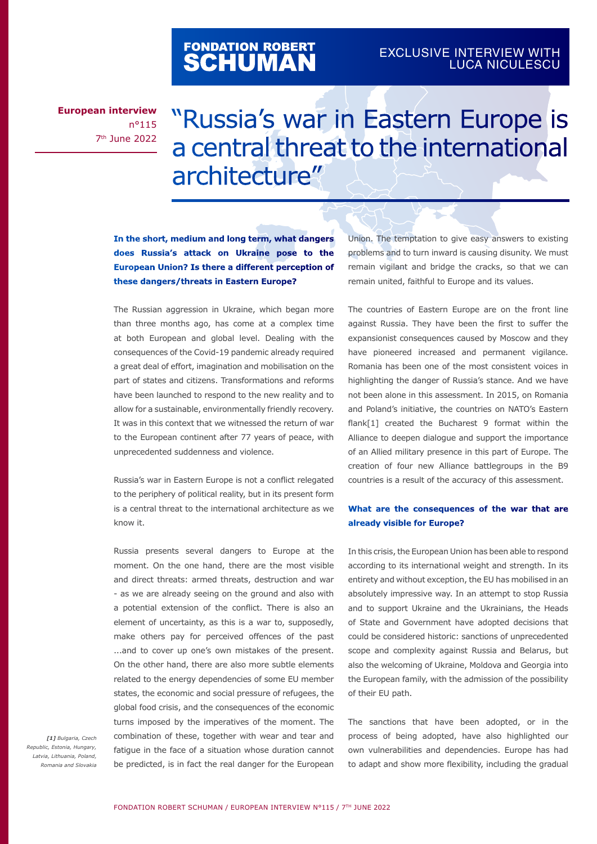# FONDATION ROBERT<br>**SCHUMAN**

### EXCLUSIVE INTERVIEW WITH LUCA NICULESCU

**European interview** n°115 7th June 2022

## "Russia's war in Eastern Europe is a central threat to the international architecture"

**In the short, medium and long term, what dangers does Russia's attack on Ukraine pose to the European Union? Is there a different perception of these dangers/threats in Eastern Europe?** 

The Russian aggression in Ukraine, which began more than three months ago, has come at a complex time at both European and global level. Dealing with the consequences of the Covid-19 pandemic already required a great deal of effort, imagination and mobilisation on the part of states and citizens. Transformations and reforms have been launched to respond to the new reality and to allow for a sustainable, environmentally friendly recovery. It was in this context that we witnessed the return of war to the European continent after 77 years of peace, with unprecedented suddenness and violence.

Russia's war in Eastern Europe is not a conflict relegated to the periphery of political reality, but in its present form is a central threat to the international architecture as we know it.

Russia presents several dangers to Europe at the moment. On the one hand, there are the most visible and direct threats: armed threats, destruction and war - as we are already seeing on the ground and also with a potential extension of the conflict. There is also an element of uncertainty, as this is a war to, supposedly, make others pay for perceived offences of the past ...and to cover up one's own mistakes of the present. On the other hand, there are also more subtle elements related to the energy dependencies of some EU member states, the economic and social pressure of refugees, the global food crisis, and the consequences of the economic turns imposed by the imperatives of the moment. The combination of these, together with wear and tear and fatigue in the face of a situation whose duration cannot be predicted, is in fact the real danger for the European

*[1] Bulgaria, Czech Republic, Estonia, Hungary, Latvia, Lithuania, Poland, Romania and Slovakia* Union. The temptation to give easy answers to existing problems and to turn inward is causing disunity. We must remain vigilant and bridge the cracks, so that we can remain united, faithful to Europe and its values.

The countries of Eastern Europe are on the front line against Russia. They have been the first to suffer the expansionist consequences caused by Moscow and they have pioneered increased and permanent vigilance. Romania has been one of the most consistent voices in highlighting the danger of Russia's stance. And we have not been alone in this assessment. In 2015, on Romania and Poland's initiative, the countries on NATO's Eastern flank[1] created the Bucharest 9 format within the Alliance to deepen dialogue and support the importance of an Allied military presence in this part of Europe. The creation of four new Alliance battlegroups in the B9 countries is a result of the accuracy of this assessment.

#### **What are the consequences of the war that are already visible for Europe?**

In this crisis, the European Union has been able to respond according to its international weight and strength. In its entirety and without exception, the EU has mobilised in an absolutely impressive way. In an attempt to stop Russia and to support Ukraine and the Ukrainians, the Heads of State and Government have adopted decisions that could be considered historic: sanctions of unprecedented scope and complexity against Russia and Belarus, but also the welcoming of Ukraine, Moldova and Georgia into the European family, with the admission of the possibility of their EU path.

The sanctions that have been adopted, or in the process of being adopted, have also highlighted our own vulnerabilities and dependencies. Europe has had to adapt and show more flexibility, including the gradual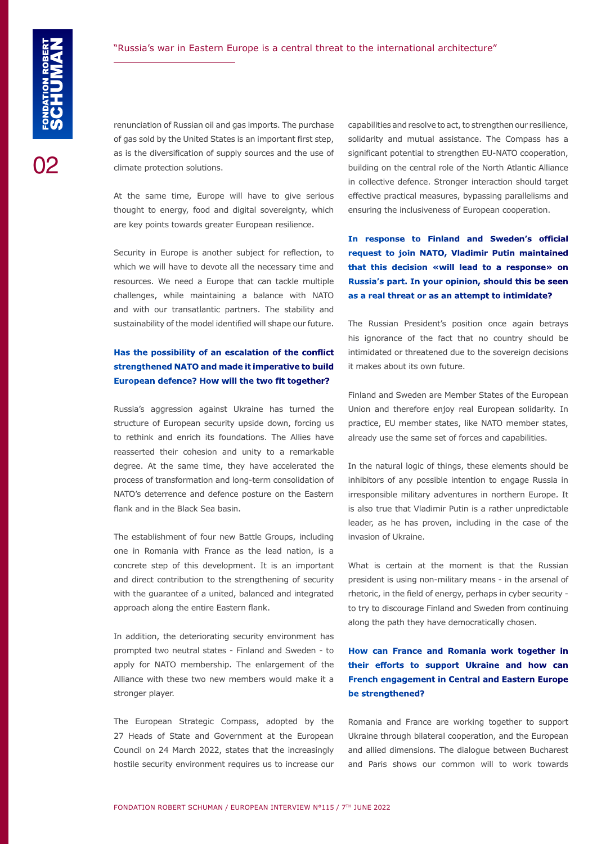#### "Russia's war in Eastern Europe is a central threat to the international architecture"

renunciation of Russian oil and gas imports. The purchase of gas sold by the United States is an important first step, as is the diversification of supply sources and the use of climate protection solutions.

At the same time, Europe will have to give serious thought to energy, food and digital sovereignty, which are key points towards greater European resilience.

Security in Europe is another subject for reflection, to which we will have to devote all the necessary time and resources. We need a Europe that can tackle multiple challenges, while maintaining a balance with NATO and with our transatlantic partners. The stability and sustainability of the model identified will shape our future.

#### **Has the possibility of an escalation of the conflict strengthened NATO and made it imperative to build European defence? How will the two fit together?**

Russia's aggression against Ukraine has turned the structure of European security upside down, forcing us to rethink and enrich its foundations. The Allies have reasserted their cohesion and unity to a remarkable degree. At the same time, they have accelerated the process of transformation and long-term consolidation of NATO's deterrence and defence posture on the Eastern flank and in the Black Sea basin.

The establishment of four new Battle Groups, including one in Romania with France as the lead nation, is a concrete step of this development. It is an important and direct contribution to the strengthening of security with the guarantee of a united, balanced and integrated approach along the entire Eastern flank.

In addition, the deteriorating security environment has prompted two neutral states - Finland and Sweden - to apply for NATO membership. The enlargement of the Alliance with these two new members would make it a stronger player.

The European Strategic Compass, adopted by the 27 Heads of State and Government at the European Council on 24 March 2022, states that the increasingly hostile security environment requires us to increase our capabilities and resolve to act, to strengthen our resilience, solidarity and mutual assistance. The Compass has a significant potential to strengthen EU-NATO cooperation, building on the central role of the North Atlantic Alliance in collective defence. Stronger interaction should target effective practical measures, bypassing parallelisms and ensuring the inclusiveness of European cooperation.

**In response to Finland and Sweden's official request to join NATO, Vladimir Putin maintained that this decision «will lead to a response» on Russia's part. In your opinion, should this be seen as a real threat or as an attempt to intimidate?** 

The Russian President's position once again betrays his ignorance of the fact that no country should be intimidated or threatened due to the sovereign decisions it makes about its own future.

Finland and Sweden are Member States of the European Union and therefore enjoy real European solidarity. In practice, EU member states, like NATO member states, already use the same set of forces and capabilities.

In the natural logic of things, these elements should be inhibitors of any possible intention to engage Russia in irresponsible military adventures in northern Europe. It is also true that Vladimir Putin is a rather unpredictable leader, as he has proven, including in the case of the invasion of Ukraine.

What is certain at the moment is that the Russian president is using non-military means - in the arsenal of rhetoric, in the field of energy, perhaps in cyber security to try to discourage Finland and Sweden from continuing along the path they have democratically chosen.

### **How can France and Romania work together in their efforts to support Ukraine and how can French engagement in Central and Eastern Europe be strengthened?**

Romania and France are working together to support Ukraine through bilateral cooperation, and the European and allied dimensions. The dialogue between Bucharest and Paris shows our common will to work towards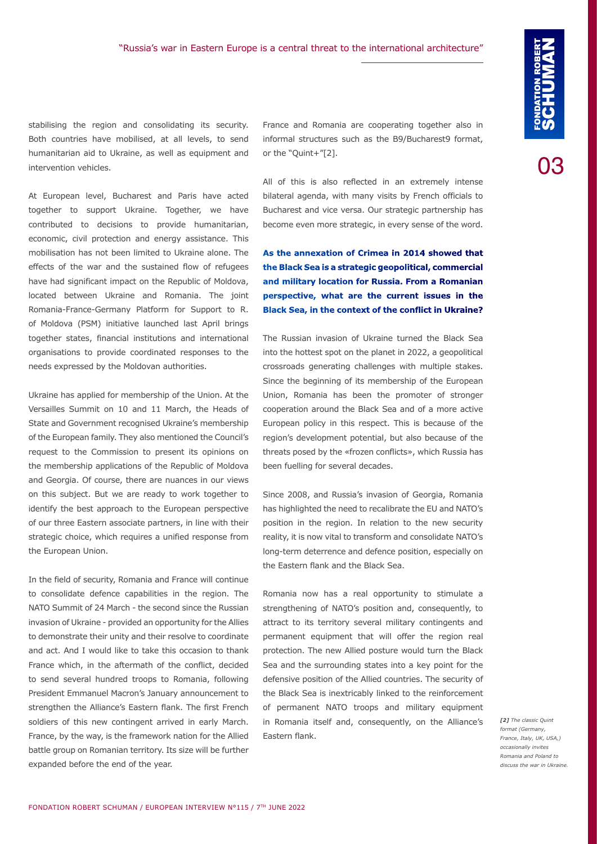stabilising the region and consolidating its security. Both countries have mobilised, at all levels, to send humanitarian aid to Ukraine, as well as equipment and intervention vehicles.

At European level, Bucharest and Paris have acted together to support Ukraine. Together, we have contributed to decisions to provide humanitarian, economic, civil protection and energy assistance. This mobilisation has not been limited to Ukraine alone. The effects of the war and the sustained flow of refugees have had significant impact on the Republic of Moldova, located between Ukraine and Romania. The joint Romania-France-Germany Platform for Support to R. of Moldova (PSM) initiative launched last April brings together states, financial institutions and international organisations to provide coordinated responses to the needs expressed by the Moldovan authorities.

Ukraine has applied for membership of the Union. At the Versailles Summit on 10 and 11 March, the Heads of State and Government recognised Ukraine's membership of the European family. They also mentioned the Council's request to the Commission to present its opinions on the membership applications of the Republic of Moldova and Georgia. Of course, there are nuances in our views on this subject. But we are ready to work together to identify the best approach to the European perspective of our three Eastern associate partners, in line with their strategic choice, which requires a unified response from the European Union.

In the field of security, Romania and France will continue to consolidate defence capabilities in the region. The NATO Summit of 24 March - the second since the Russian invasion of Ukraine - provided an opportunity for the Allies to demonstrate their unity and their resolve to coordinate and act. And I would like to take this occasion to thank France which, in the aftermath of the conflict, decided to send several hundred troops to Romania, following President Emmanuel Macron's January announcement to strengthen the Alliance's Eastern flank. The first French soldiers of this new contingent arrived in early March. France, by the way, is the framework nation for the Allied battle group on Romanian territory. Its size will be further expanded before the end of the year.

France and Romania are cooperating together also in informal structures such as the B9/Bucharest9 format, or the "Quint+"[2].

All of this is also reflected in an extremely intense bilateral agenda, with many visits by French officials to Bucharest and vice versa. Our strategic partnership has become even more strategic, in every sense of the word.

**As the annexation of Crimea in 2014 showed that the Black Sea is a strategic geopolitical, commercial and military location for Russia. From a Romanian perspective, what are the current issues in the Black Sea, in the context of the conflict in Ukraine?**

The Russian invasion of Ukraine turned the Black Sea into the hottest spot on the planet in 2022, a geopolitical crossroads generating challenges with multiple stakes. Since the beginning of its membership of the European Union, Romania has been the promoter of stronger cooperation around the Black Sea and of a more active European policy in this respect. This is because of the region's development potential, but also because of the threats posed by the «frozen conflicts», which Russia has been fuelling for several decades.

Since 2008, and Russia's invasion of Georgia, Romania has highlighted the need to recalibrate the EU and NATO's position in the region. In relation to the new security reality, it is now vital to transform and consolidate NATO's long-term deterrence and defence position, especially on the Eastern flank and the Black Sea.

Romania now has a real opportunity to stimulate a strengthening of NATO's position and, consequently, to attract to its territory several military contingents and permanent equipment that will offer the region real protection. The new Allied posture would turn the Black Sea and the surrounding states into a key point for the defensive position of the Allied countries. The security of the Black Sea is inextricably linked to the reinforcement of permanent NATO troops and military equipment in Romania itself and, consequently, on the Alliance's Eastern flank.

*[2] The classic Quint format (Germany, France, Italy, UK, USA,) occasionally invites Romania and Poland to discuss the war in Ukraine.*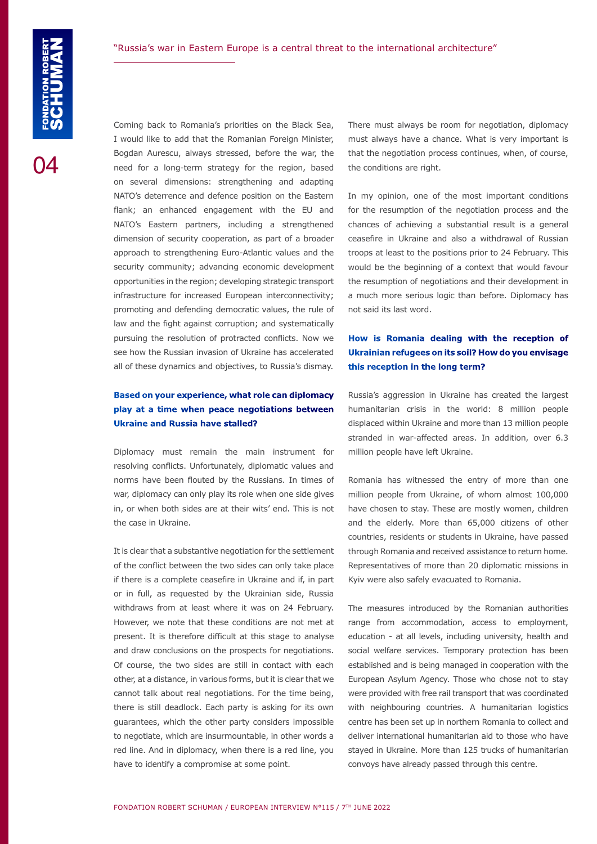Coming back to Romania's priorities on the Black Sea, I would like to add that the Romanian Foreign Minister, Bogdan Aurescu, always stressed, before the war, the need for a long-term strategy for the region, based on several dimensions: strengthening and adapting NATO's deterrence and defence position on the Eastern flank; an enhanced engagement with the EU and NATO's Eastern partners, including a strengthened dimension of security cooperation, as part of a broader approach to strengthening Euro-Atlantic values and the security community; advancing economic development opportunities in the region; developing strategic transport infrastructure for increased European interconnectivity; promoting and defending democratic values, the rule of law and the fight against corruption; and systematically pursuing the resolution of protracted conflicts. Now we see how the Russian invasion of Ukraine has accelerated all of these dynamics and objectives, to Russia's dismay.

#### **Based on your experience, what role can diplomacy play at a time when peace negotiations between Ukraine and Russia have stalled?**

Diplomacy must remain the main instrument for resolving conflicts. Unfortunately, diplomatic values and norms have been flouted by the Russians. In times of war, diplomacy can only play its role when one side gives in, or when both sides are at their wits' end. This is not the case in Ukraine.

It is clear that a substantive negotiation for the settlement of the conflict between the two sides can only take place if there is a complete ceasefire in Ukraine and if, in part or in full, as requested by the Ukrainian side, Russia withdraws from at least where it was on 24 February. However, we note that these conditions are not met at present. It is therefore difficult at this stage to analyse and draw conclusions on the prospects for negotiations. Of course, the two sides are still in contact with each other, at a distance, in various forms, but it is clear that we cannot talk about real negotiations. For the time being, there is still deadlock. Each party is asking for its own guarantees, which the other party considers impossible to negotiate, which are insurmountable, in other words a red line. And in diplomacy, when there is a red line, you have to identify a compromise at some point.

There must always be room for negotiation, diplomacy must always have a chance. What is very important is that the negotiation process continues, when, of course, the conditions are right.

In my opinion, one of the most important conditions for the resumption of the negotiation process and the chances of achieving a substantial result is a general ceasefire in Ukraine and also a withdrawal of Russian troops at least to the positions prior to 24 February. This would be the beginning of a context that would favour the resumption of negotiations and their development in a much more serious logic than before. Diplomacy has not said its last word.

#### **How is Romania dealing with the reception of Ukrainian refugees on its soil? How do you envisage this reception in the long term?**

Russia's aggression in Ukraine has created the largest humanitarian crisis in the world: 8 million people displaced within Ukraine and more than 13 million people stranded in war-affected areas. In addition, over 6.3 million people have left Ukraine.

Romania has witnessed the entry of more than one million people from Ukraine, of whom almost 100,000 have chosen to stay. These are mostly women, children and the elderly. More than 65,000 citizens of other countries, residents or students in Ukraine, have passed through Romania and received assistance to return home. Representatives of more than 20 diplomatic missions in Kyiv were also safely evacuated to Romania.

The measures introduced by the Romanian authorities range from accommodation, access to employment, education - at all levels, including university, health and social welfare services. Temporary protection has been established and is being managed in cooperation with the European Asylum Agency. Those who chose not to stay were provided with free rail transport that was coordinated with neighbouring countries. A humanitarian logistics centre has been set up in northern Romania to collect and deliver international humanitarian aid to those who have stayed in Ukraine. More than 125 trucks of humanitarian convoys have already passed through this centre.